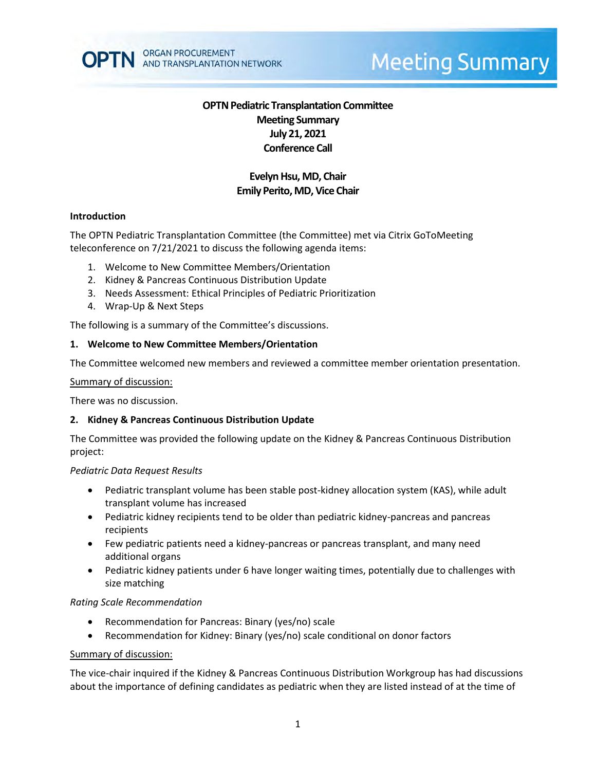

# **Meeting Summary**

## **OPTN Pediatric Transplantation Committee Meeting Summary July 21, 2021 Conference Call**

## **Evelyn Hsu, MD, Chair Emily Perito, MD, Vice Chair**

#### **Introduction**

The OPTN Pediatric Transplantation Committee (the Committee) met via Citrix GoToMeeting teleconference on 7/21/2021 to discuss the following agenda items:

- 1. Welcome to New Committee Members/Orientation
- 2. Kidney & Pancreas Continuous Distribution Update
- 3. Needs Assessment: Ethical Principles of Pediatric Prioritization
- 4. Wrap-Up & Next Steps

The following is a summary of the Committee's discussions.

#### **1. Welcome to New Committee Members/Orientation**

The Committee welcomed new members and reviewed a committee member orientation presentation.

Summary of discussion:

There was no discussion.

#### **2. Kidney & Pancreas Continuous Distribution Update**

The Committee was provided the following update on the Kidney & Pancreas Continuous Distribution project:

#### *Pediatric Data Request Results*

- Pediatric transplant volume has been stable post-kidney allocation system (KAS), while adult transplant volume has increased
- Pediatric kidney recipients tend to be older than pediatric kidney-pancreas and pancreas recipients
- Few pediatric patients need a kidney-pancreas or pancreas transplant, and many need additional organs
- Pediatric kidney patients under 6 have longer waiting times, potentially due to challenges with size matching

#### *Rating Scale Recommendation*

- Recommendation for Pancreas: Binary (yes/no) scale
- Recommendation for Kidney: Binary (yes/no) scale conditional on donor factors

#### Summary of discussion:

The vice-chair inquired if the Kidney & Pancreas Continuous Distribution Workgroup has had discussions about the importance of defining candidates as pediatric when they are listed instead of at the time of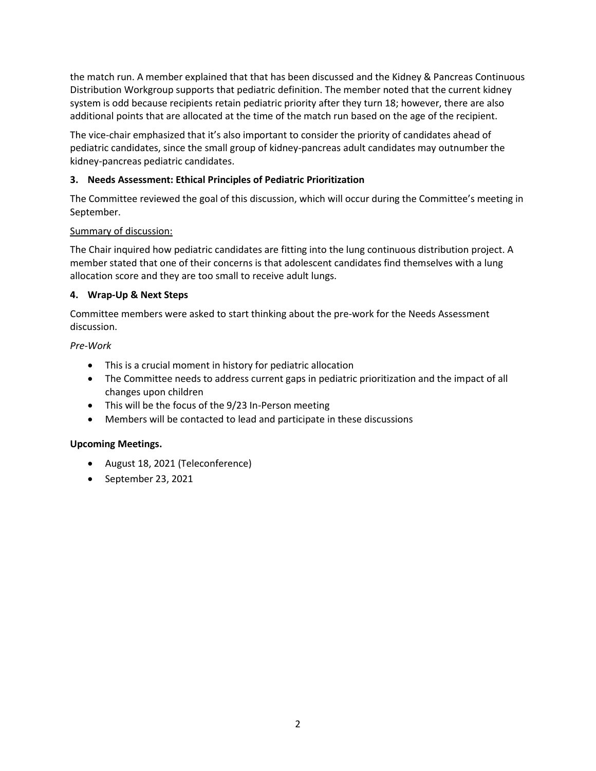the match run. A member explained that that has been discussed and the Kidney & Pancreas Continuous Distribution Workgroup supports that pediatric definition. The member noted that the current kidney system is odd because recipients retain pediatric priority after they turn 18; however, there are also additional points that are allocated at the time of the match run based on the age of the recipient.

The vice-chair emphasized that it's also important to consider the priority of candidates ahead of pediatric candidates, since the small group of kidney-pancreas adult candidates may outnumber the kidney-pancreas pediatric candidates.

## **3. Needs Assessment: Ethical Principles of Pediatric Prioritization**

The Committee reviewed the goal of this discussion, which will occur during the Committee's meeting in September.

## Summary of discussion:

The Chair inquired how pediatric candidates are fitting into the lung continuous distribution project. A member stated that one of their concerns is that adolescent candidates find themselves with a lung allocation score and they are too small to receive adult lungs.

## **4. Wrap-Up & Next Steps**

Committee members were asked to start thinking about the pre-work for the Needs Assessment discussion.

## *Pre-Work*

- This is a crucial moment in history for pediatric allocation
- The Committee needs to address current gaps in pediatric prioritization and the impact of all changes upon children
- This will be the focus of the 9/23 In-Person meeting
- Members will be contacted to lead and participate in these discussions

## **Upcoming Meetings.**

- August 18, 2021 (Teleconference)
- September 23, 2021